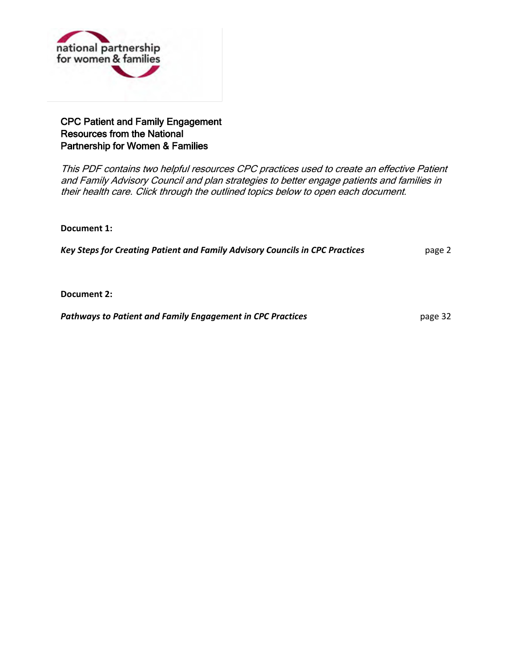

#### CPC Patient and Family Engagement Resources from the National Partnership for Women & Families

This PDF contains two helpful resources CPC practices used to create an effective Patient and Family Advisory Council and plan strategies to better engage patients and families in their health care. Click through the outlined topics below to open each document.

**Document 1:**

[Key Steps for Creating Patient and Family Advisory Councils in CPC Practices](#page-1-0) page 2

**Document 2:** 

**Pathways to Patient and Family Engagement in CPC Practices page 32** page 32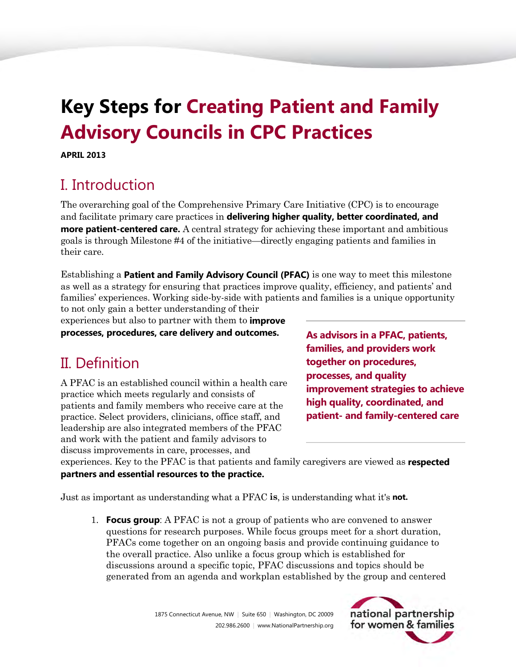# <span id="page-1-0"></span>**Key Steps for Creating Patient and Family Advisory Councils in CPC Practices**

**APRIL 2013** 

## I. Introduction

The overarching goal of the Comprehensive Primary Care Initiative (CPC) is to encourage and facilitate primary care practices in **delivering higher quality, better coordinated, and more patient-centered care.** A central strategy for achieving these important and ambitious goals is through Milestone #4 of the initiative—directly engaging patients and families in their care.

Establishing a **Patient and Family Advisory Council (PFAC)** is one way to meet this milestone as well as a strategy for ensuring that practices improve quality, efficiency, and patients' and families' experiences. Working side-by-side with patients and families is a unique opportunity to not only gain a better understanding of their

experiences but also to partner with them to **improve**

**processes, procedures, care delivery and outcomes.**

## II. Definition

A PFAC is an established council within a health care practice which meets regularly and consists of patients and family members who receive care at the practice. Select providers, clinicians, office staff, and leadership are also integrated members of the PFAC and work with the patient and family advisors to discuss improvements in care, processes, and

**As advisors in a PFAC, patients, families, and providers work together on procedures, processes, and quality improvement strategies to achieve high quality, coordinated, and patient- and family-centered care**

experiences. Key to the PFAC is that patients and family caregivers are viewed as **respected partners and essential resources to the practice.**

Just as important as understanding what a PFAC **is**, is understanding what it's **not.**

1. **Focus group**: A PFAC is not a group of patients who are convened to answer questions for research purposes. While focus groups meet for a short duration, PFACs come together on an ongoing basis and provide continuing guidance to the overall practice. Also unlike a focus group which is established for discussions around a specific topic, PFAC discussions and topics should be generated from an agenda and workplan established by the group and centered

> 1875 Connecticut Avenue, NW | Suite 650 | Washington, DC 20009 202.986.2600 | www.NationalPartnership.org

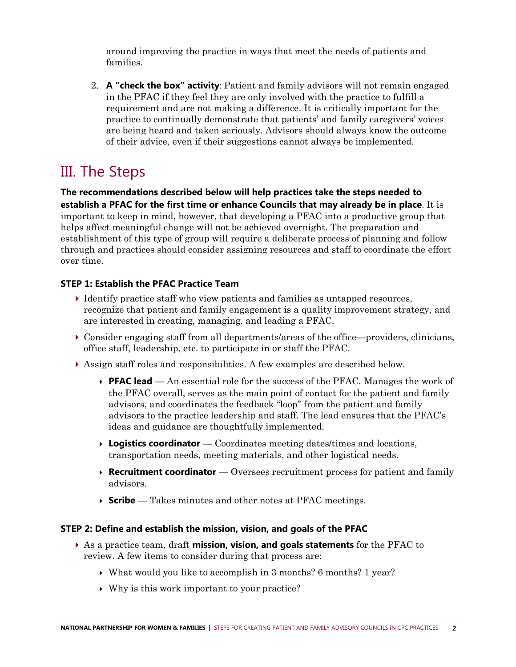around improving the practice in ways that meet the needs of patients and families.

2. **A "check the box" activity**: Patient and family advisors will not remain engaged in the PFAC if they feel they are only involved with the practice to fulfill a requirement and are not making a difference. It is critically important for the practice to continually demonstrate that patients' and family caregivers' voices are being heard and taken seriously. Advisors should always know the outcome of their advice, even if their suggestions cannot always be implemented.

## III. The Steps

**The recommendations described below will help practices take the steps needed to establish a PFAC for the first time or enhance Councils that may already be in place**. It is important to keep in mind, however, that developing a PFAC into a productive group that helps affect meaningful change will not be achieved overnight. The preparation and establishment of this type of group will require a deliberate process of planning and follow through and practices should consider assigning resources and staff to coordinate the effort over time.

#### **STEP 1: Establish the PFAC Practice Team**

- Identify practice staff who view patients and families as untapped resources, recognize that patient and family engagement is a quality improvement strategy, and are interested in creating, managing, and leading a PFAC.
- Consider engaging staff from all departments/areas of the office—providers, clinicians, office staff, leadership, etc. to participate in or staff the PFAC.
- Assign staff roles and responsibilities. A few examples are described below.
	- **PFAC lead** An essential role for the success of the PFAC. Manages the work of the PFAC overall, serves as the main point of contact for the patient and family advisors, and coordinates the feedback "loop" from the patient and family advisors to the practice leadership and staff. The lead ensures that the PFAC's ideas and guidance are thoughtfully implemented.
	- **Logistics coordinator**  Coordinates meeting dates/times and locations, transportation needs, meeting materials, and other logistical needs.
	- **Recruitment coordinator** Oversees recruitment process for patient and family advisors.
	- **Scribe**  Takes minutes and other notes at PFAC meetings.

#### **STEP 2: Define and establish the mission, vision, and goals of the PFAC**

- As a practice team, draft **mission, vision, and goals statements** for the PFAC to review. A few items to consider during that process are:
	- $\triangleright$  What would you like to accomplish in 3 months? 6 months? 1 year?
	- Why is this work important to your practice?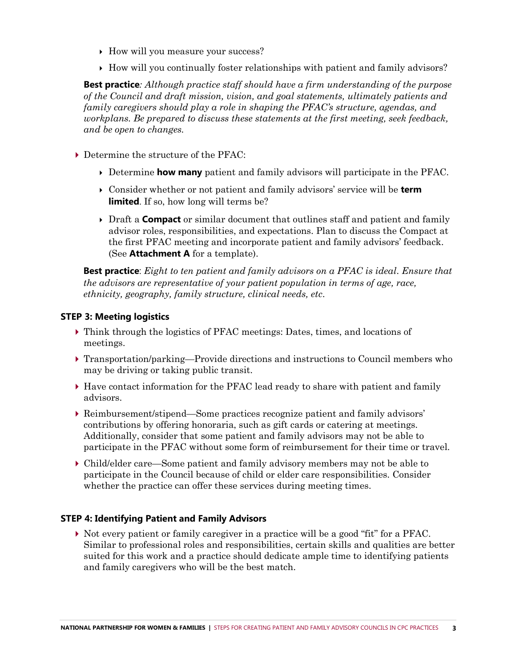- How will you measure your success?
- $\rightarrow$  How will you continually foster relationships with patient and family advisors?

**Best practice***: Although practice staff should have a firm understanding of the purpose of the Council and draft mission, vision, and goal statements, ultimately patients and family caregivers should play a role in shaping the PFAC's structure, agendas, and workplans. Be prepared to discuss these statements at the first meeting, seek feedback, and be open to changes.* 

- Determine the structure of the PFAC:
	- Determine **how many** patient and family advisors will participate in the PFAC.
	- Consider whether or not patient and family advisors' service will be **term limited**. If so, how long will terms be?
	- Draft a **Compact** or similar document that outlines staff and patient and family advisor roles, responsibilities, and expectations. Plan to discuss the Compact at the first PFAC meeting and incorporate patient and family advisors' feedback. (See **Attachment A** for a template).

**Best practice**: *Eight to ten patient and family advisors on a PFAC is ideal*. *Ensure that the advisors are representative of your patient population in terms of age, race, ethnicity, geography, family structure, clinical needs, etc*.

#### **STEP 3: Meeting logistics**

- Think through the logistics of PFAC meetings: Dates, times, and locations of meetings.
- Transportation/parking—Provide directions and instructions to Council members who may be driving or taking public transit.
- Have contact information for the PFAC lead ready to share with patient and family advisors.
- Reimbursement/stipend—Some practices recognize patient and family advisors' contributions by offering honoraria, such as gift cards or catering at meetings. Additionally, consider that some patient and family advisors may not be able to participate in the PFAC without some form of reimbursement for their time or travel.
- Child/elder care—Some patient and family advisory members may not be able to participate in the Council because of child or elder care responsibilities. Consider whether the practice can offer these services during meeting times.

#### **STEP 4: Identifying Patient and Family Advisors**

 $\triangleright$  Not every patient or family caregiver in a practice will be a good "fit" for a PFAC. Similar to professional roles and responsibilities, certain skills and qualities are better suited for this work and a practice should dedicate ample time to identifying patients and family caregivers who will be the best match.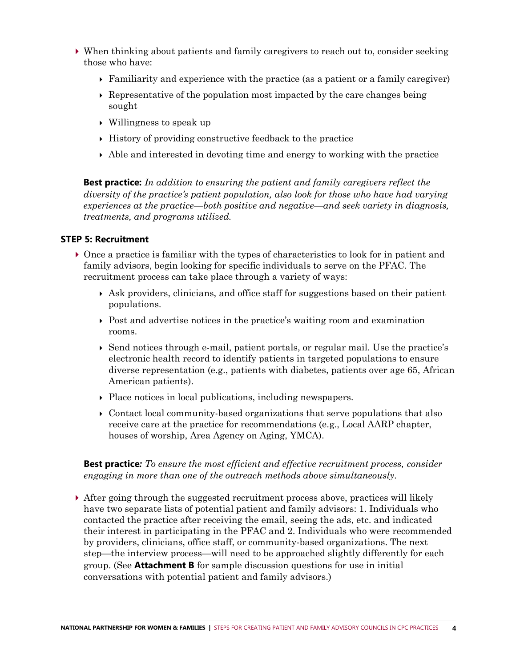- When thinking about patients and family caregivers to reach out to, consider seeking those who have:
	- Familiarity and experience with the practice (as a patient or a family caregiver)
	- $\rightarrow$  Representative of the population most impacted by the care changes being sought
	- Willingness to speak up
	- $\rightarrow$  History of providing constructive feedback to the practice
	- $\rightarrow$  Able and interested in devoting time and energy to working with the practice

**Best practice:** *In addition to ensuring the patient and family caregivers reflect the diversity of the practice's patient population, also look for those who have had varying experiences at the practice—both positive and negative—and seek variety in diagnosis, treatments, and programs utilized.*

#### **STEP 5: Recruitment**

- Once a practice is familiar with the types of characteristics to look for in patient and family advisors, begin looking for specific individuals to serve on the PFAC. The recruitment process can take place through a variety of ways:
	- $\rightarrow$  Ask providers, clinicians, and office staff for suggestions based on their patient populations.
	- $\rightarrow$  Post and advertise notices in the practice's waiting room and examination rooms.
	- $\triangleright$  Send notices through e-mail, patient portals, or regular mail. Use the practice's electronic health record to identify patients in targeted populations to ensure diverse representation (e.g., patients with diabetes, patients over age 65, African American patients).
	- Place notices in local publications, including newspapers.
	- Contact local community-based organizations that serve populations that also receive care at the practice for recommendations (e.g., Local AARP chapter, houses of worship, Area Agency on Aging, YMCA).

**Best practice***: To ensure the most efficient and effective recruitment process, consider engaging in more than one of the outreach methods above simultaneously.*

 After going through the suggested recruitment process above, practices will likely have two separate lists of potential patient and family advisors: 1. Individuals who contacted the practice after receiving the email, seeing the ads, etc. and indicated their interest in participating in the PFAC and 2. Individuals who were recommended by providers, clinicians, office staff, or community-based organizations. The next step—the interview process—will need to be approached slightly differently for each group. (See **Attachment B** for sample discussion questions for use in initial conversations with potential patient and family advisors.)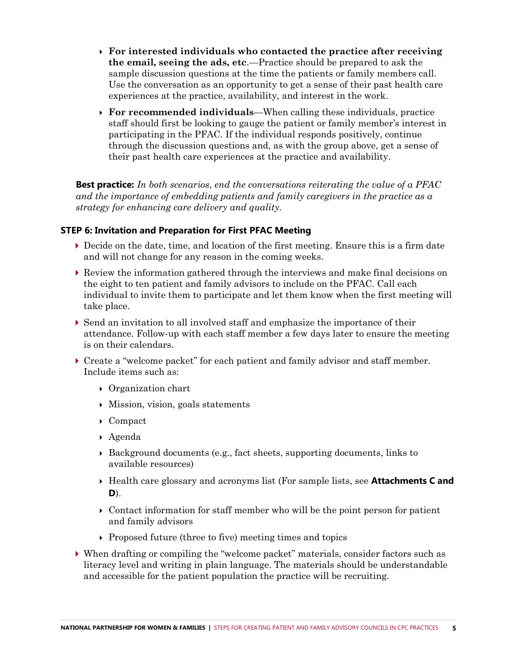- **For interested individuals who contacted the practice after receiving the email, seeing the ads, etc**.—Practice should be prepared to ask the sample discussion questions at the time the patients or family members call. Use the conversation as an opportunity to get a sense of their past health care experiences at the practice, availability, and interest in the work.
- **For recommended individuals**—When calling these individuals, practice staff should first be looking to gauge the patient or family member's interest in participating in the PFAC. If the individual responds positively, continue through the discussion questions and, as with the group above, get a sense of their past health care experiences at the practice and availability.

**Best practice:** *In both scenarios*, *end the conversations reiterating the value of a PFAC and the importance of embedding patients and family caregivers in the practice as a strategy for enhancing care delivery and quality.*

#### **STEP 6: Invitation and Preparation for First PFAC Meeting**

- Decide on the date, time, and location of the first meeting. Ensure this is a firm date and will not change for any reason in the coming weeks.
- Review the information gathered through the interviews and make final decisions on the eight to ten patient and family advisors to include on the PFAC. Call each individual to invite them to participate and let them know when the first meeting will take place.
- Send an invitation to all involved staff and emphasize the importance of their attendance. Follow-up with each staff member a few days later to ensure the meeting is on their calendars.
- ▶ Create a "welcome packet" for each patient and family advisor and staff member. Include items such as:
	- ▶ Organization chart
	- Mission, vision, goals statements
	- Compact
	- Agenda
	- $\triangleright$  Background documents (e.g., fact sheets, supporting documents, links to available resources)
	- Health care glossary and acronyms list (For sample lists, see **Attachments C and D**).
	- $\triangleright$  Contact information for staff member who will be the point person for patient and family advisors
	- $\rightarrow$  Proposed future (three to five) meeting times and topics
- $\triangleright$  When drafting or compiling the "welcome packet" materials, consider factors such as literacy level and writing in plain language. The materials should be understandable and accessible for the patient population the practice will be recruiting.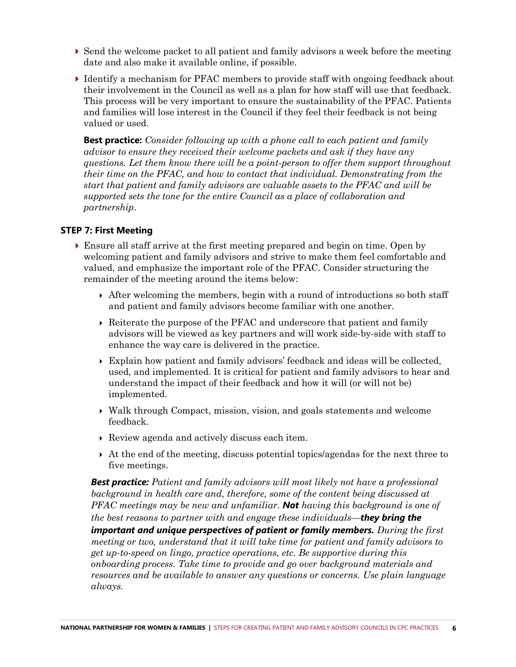- $\triangleright$  Send the welcome packet to all patient and family advisors a week before the meeting date and also make it available online, if possible.
- Identify a mechanism for PFAC members to provide staff with ongoing feedback about their involvement in the Council as well as a plan for how staff will use that feedback. This process will be very important to ensure the sustainability of the PFAC. Patients and families will lose interest in the Council if they feel their feedback is not being valued or used.

**Best practice:** *Consider following up with a phone call to each patient and family advisor to ensure they received their welcome packets and ask if they have any questions. Let them know there will be a point-person to offer them support throughout their time on the PFAC, and how to contact that individual. Demonstrating from the start that patient and family advisors are valuable assets to the PFAC and will be supported sets the tone for the entire Council as a place of collaboration and partnership*.

#### **STEP 7: First Meeting**

- Ensure all staff arrive at the first meeting prepared and begin on time. Open by welcoming patient and family advisors and strive to make them feel comfortable and valued, and emphasize the important role of the PFAC. Consider structuring the remainder of the meeting around the items below:
	- $\rightarrow$  After welcoming the members, begin with a round of introductions so both staff and patient and family advisors become familiar with one another.
	- Reiterate the purpose of the PFAC and underscore that patient and family advisors will be viewed as key partners and will work side-by-side with staff to enhance the way care is delivered in the practice.
	- Explain how patient and family advisors' feedback and ideas will be collected, used, and implemented. It is critical for patient and family advisors to hear and understand the impact of their feedback and how it will (or will not be) implemented.
	- Walk through Compact, mission, vision, and goals statements and welcome feedback.
	- Review agenda and actively discuss each item.
	- At the end of the meeting, discuss potential topics/agendas for the next three to five meetings.

*Best practice: Patient and family advisors will most likely not have a professional background in health care and, therefore, some of the content being discussed at PFAC meetings may be new and unfamiliar. Not having this background is one of the best reasons to partner with and engage these individuals—they bring the important and unique perspectives of patient or family members. During the first meeting or two, understand that it will take time for patient and family advisors to get up-to-speed on lingo, practice operations, etc. Be supportive during this onboarding process. Take time to provide and go over background materials and resources and be available to answer any questions or concerns. Use plain language always.*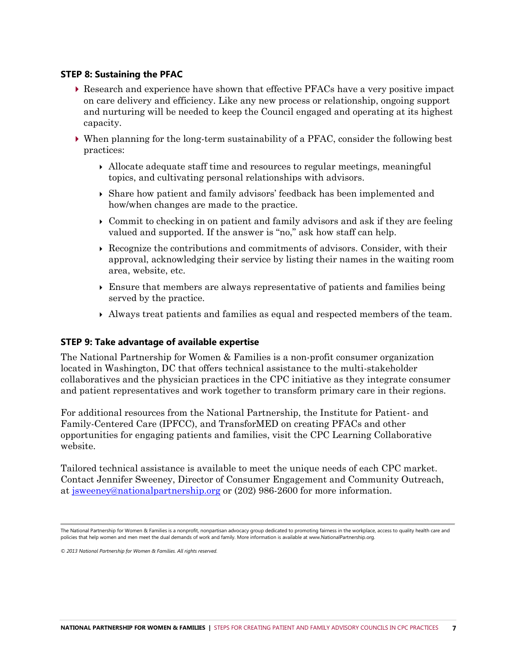#### **STEP 8: Sustaining the PFAC**

- Research and experience have shown that effective PFACs have a very positive impact on care delivery and efficiency. Like any new process or relationship, ongoing support and nurturing will be needed to keep the Council engaged and operating at its highest capacity.
- When planning for the long-term sustainability of a PFAC, consider the following best practices:
	- $\rightarrow$  Allocate adequate staff time and resources to regular meetings, meaningful topics, and cultivating personal relationships with advisors.
	- Share how patient and family advisors' feedback has been implemented and how/when changes are made to the practice.
	- Commit to checking in on patient and family advisors and ask if they are feeling valued and supported. If the answer is "no," ask how staff can help.
	- Recognize the contributions and commitments of advisors. Consider, with their approval, acknowledging their service by listing their names in the waiting room area, website, etc.
	- Ensure that members are always representative of patients and families being served by the practice.
	- Always treat patients and families as equal and respected members of the team.

#### **STEP 9: Take advantage of available expertise**

The National Partnership for Women & Families is a non-profit consumer organization located in Washington, DC that offers technical assistance to the multi-stakeholder collaboratives and the physician practices in the CPC initiative as they integrate consumer and patient representatives and work together to transform primary care in their regions.

For additional resources from the National Partnership, the Institute for Patient- and Family-Centered Care (IPFCC), and TransforMED on creating PFACs and other opportunities for engaging patients and families, visit the CPC Learning Collaborative website.

Tailored technical assistance is available to meet the unique needs of each CPC market. Contact Jennifer Sweeney, Director of Consumer Engagement and Community Outreach, at [jsweeney@nationalpartnership.org](mailto:jsweeney@nationalpartnership.org) or (202) 986-2600 for more information.

*© 2013 National Partnership for Women & Families. All rights reserved.* 

The National Partnership for Women & Families is a nonprofit, nonpartisan advocacy group dedicated to promoting fairness in the workplace, access to quality health care and policies that help women and men meet the dual demands of work and family. More information is available at www.NationalPartnership.org.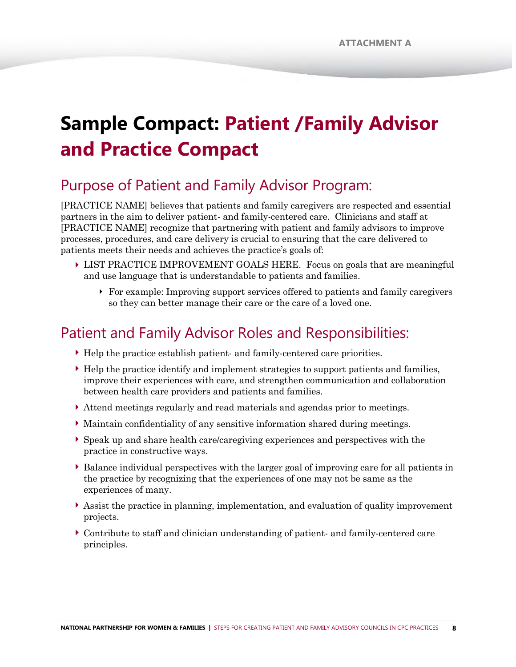# **Sample Compact: Patient /Family Advisor and Practice Compact**

## Purpose of Patient and Family Advisor Program:

[PRACTICE NAME] believes that patients and family caregivers are respected and essential partners in the aim to deliver patient- and family-centered care. Clinicians and staff at [PRACTICE NAME] recognize that partnering with patient and family advisors to improve processes, procedures, and care delivery is crucial to ensuring that the care delivered to patients meets their needs and achieves the practice's goals of:

- LIST PRACTICE IMPROVEMENT GOALS HERE. Focus on goals that are meaningful and use language that is understandable to patients and families.
	- For example: Improving support services offered to patients and family caregivers so they can better manage their care or the care of a loved one.

### Patient and Family Advisor Roles and Responsibilities:

- Help the practice establish patient- and family-centered care priorities.
- Help the practice identify and implement strategies to support patients and families, improve their experiences with care, and strengthen communication and collaboration between health care providers and patients and families.
- Attend meetings regularly and read materials and agendas prior to meetings.
- Maintain confidentiality of any sensitive information shared during meetings.
- Speak up and share health care/caregiving experiences and perspectives with the practice in constructive ways.
- Balance individual perspectives with the larger goal of improving care for all patients in the practice by recognizing that the experiences of one may not be same as the experiences of many.
- Assist the practice in planning, implementation, and evaluation of quality improvement projects.
- Contribute to staff and clinician understanding of patient- and family-centered care principles.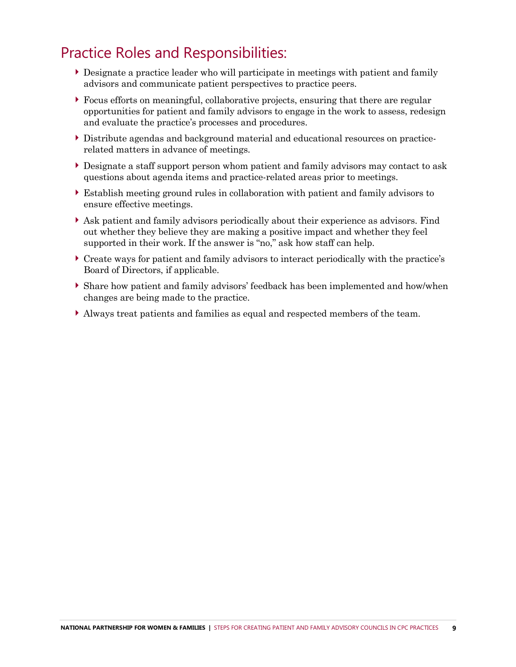## Practice Roles and Responsibilities:

- Designate a practice leader who will participate in meetings with patient and family advisors and communicate patient perspectives to practice peers.
- Focus efforts on meaningful, collaborative projects, ensuring that there are regular opportunities for patient and family advisors to engage in the work to assess, redesign and evaluate the practice's processes and procedures.
- Distribute agendas and background material and educational resources on practicerelated matters in advance of meetings.
- Designate a staff support person whom patient and family advisors may contact to ask questions about agenda items and practice-related areas prior to meetings.
- Establish meeting ground rules in collaboration with patient and family advisors to ensure effective meetings.
- Ask patient and family advisors periodically about their experience as advisors. Find out whether they believe they are making a positive impact and whether they feel supported in their work. If the answer is "no," ask how staff can help.
- Create ways for patient and family advisors to interact periodically with the practice's Board of Directors, if applicable.
- Share how patient and family advisors' feedback has been implemented and how/when changes are being made to the practice.
- Always treat patients and families as equal and respected members of the team.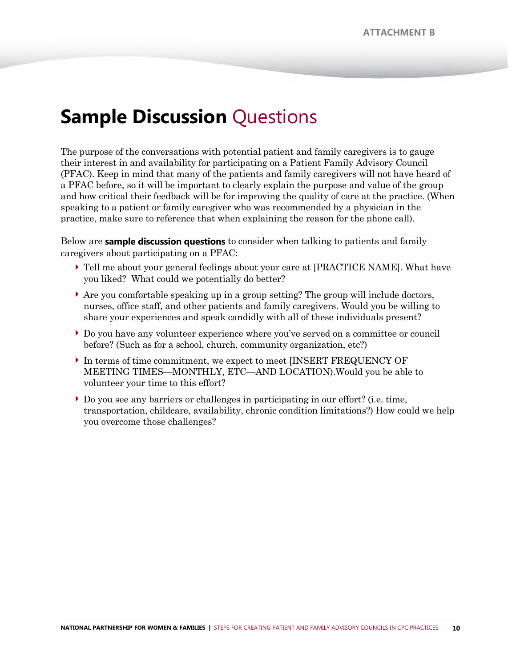## **Sample Discussion Questions**

The purpose of the conversations with potential patient and family caregivers is to gauge their interest in and availability for participating on a Patient Family Advisory Council (PFAC). Keep in mind that many of the patients and family caregivers will not have heard of a PFAC before, so it will be important to clearly explain the purpose and value of the group and how critical their feedback will be for improving the quality of care at the practice. (When speaking to a patient or family caregiver who was recommended by a physician in the practice, make sure to reference that when explaining the reason for the phone call).

Below are **sample discussion questions** to consider when talking to patients and family caregivers about participating on a PFAC:

- Tell me about your general feelings about your care at [PRACTICE NAME]. What have you liked? What could we potentially do better?
- $\blacktriangleright$  Are you comfortable speaking up in a group setting? The group will include doctors, nurses, office staff, and other patients and family caregivers. Would you be willing to share your experiences and speak candidly with all of these individuals present?
- Do you have any volunteer experience where you've served on a committee or council before? (Such as for a school, church, community organization, etc?)
- In terms of time commitment, we expect to meet [INSERT FREQUENCY OF MEETING TIMES—MONTHLY, ETC—AND LOCATION).Would you be able to volunteer your time to this effort?
- Do you see any barriers or challenges in participating in our effort? (i.e. time, transportation, childcare, availability, chronic condition limitations?) How could we help you overcome those challenges?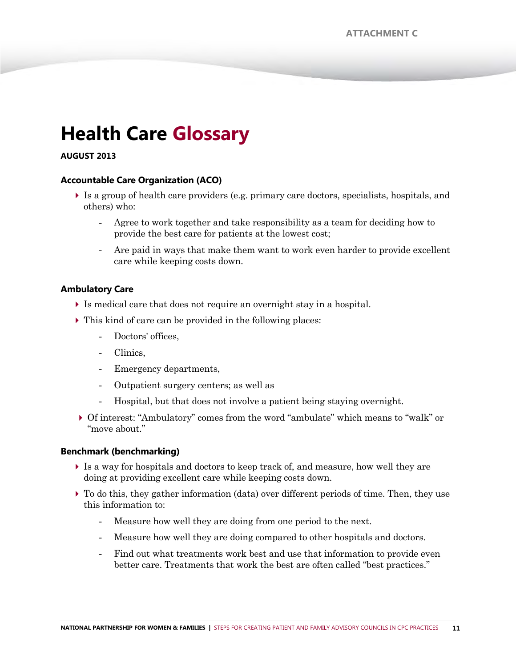## **Health Care Glossary**

#### **AUGUST 2013**

#### **Accountable Care Organization (ACO)**

- Is a group of health care providers (e.g. primary care doctors, specialists, hospitals, and others) who:
	- Agree to work together and take responsibility as a team for deciding how to provide the best care for patients at the lowest cost;
	- Are paid in ways that make them want to work even harder to provide excellent care while keeping costs down.

#### **Ambulatory Care**

- Is medical care that does not require an overnight stay in a hospital.
- This kind of care can be provided in the following places:
	- Doctors' offices.
	- Clinics,
	- Emergency departments,
	- Outpatient surgery centers; as well as
	- Hospital, but that does not involve a patient being staying overnight.
- ▶ Of interest: "Ambulatory" comes from the word "ambulate" which means to "walk" or "move about."

#### **Benchmark (benchmarking)**

- Is a way for hospitals and doctors to keep track of, and measure, how well they are doing at providing excellent care while keeping costs down.
- To do this, they gather information (data) over different periods of time. Then, they use this information to:
	- Measure how well they are doing from one period to the next.
	- Measure how well they are doing compared to other hospitals and doctors.
	- Find out what treatments work best and use that information to provide even better care. Treatments that work the best are often called "best practices."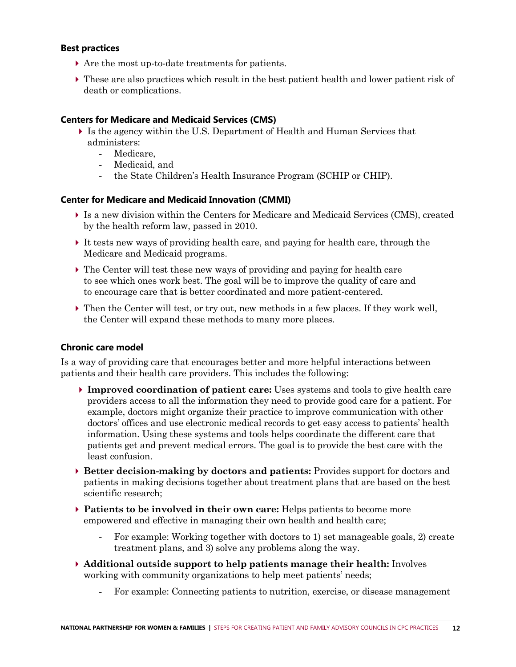#### **Best practices**

- Are the most up-to-date treatments for patients.
- These are also practices which result in the best patient health and lower patient risk of death or complications.

#### **Centers for Medicare and Medicaid Services (CMS)**

- Is the agency within the U.S. Department of Health and Human Services that administers:
	- Medicare,
	- Medicaid, and
	- the State Children's Health Insurance Program (SCHIP or CHIP).

#### **Center for Medicare and Medicaid Innovation (CMMI)**

- Is a new division within the Centers for Medicare and Medicaid Services (CMS), created by the health reform law, passed in 2010.
- It tests new ways of providing health care, and paying for health care, through the Medicare and Medicaid programs.
- $\triangleright$  The Center will test these new ways of providing and paying for health care to see which ones work best. The goal will be to improve the quality of care and to encourage care that is better coordinated and more patient-centered.
- ▶ Then the Center will test, or try out, new methods in a few places. If they work well, the Center will expand these methods to many more places.

#### **Chronic care model**

Is a way of providing care that encourages better and more helpful interactions between patients and their health care providers. This includes the following:

- **Improved coordination of patient care:** Uses systems and tools to give health care providers access to all the information they need to provide good care for a patient. For example, doctors might organize their practice to improve communication with other doctors' offices and use electronic medical records to get easy access to patients' health information. Using these systems and tools helps coordinate the different care that patients get and prevent medical errors. The goal is to provide the best care with the least confusion.
- **Better decision-making by doctors and patients:** Provides support for doctors and patients in making decisions together about treatment plans that are based on the best scientific research;
- **Patients to be involved in their own care:** Helps patients to become more empowered and effective in managing their own health and health care;
	- For example: Working together with doctors to 1) set manageable goals, 2) create treatment plans, and 3) solve any problems along the way.
- **Additional outside support to help patients manage their health:** Involves working with community organizations to help meet patients' needs;
	- For example: Connecting patients to nutrition, exercise, or disease management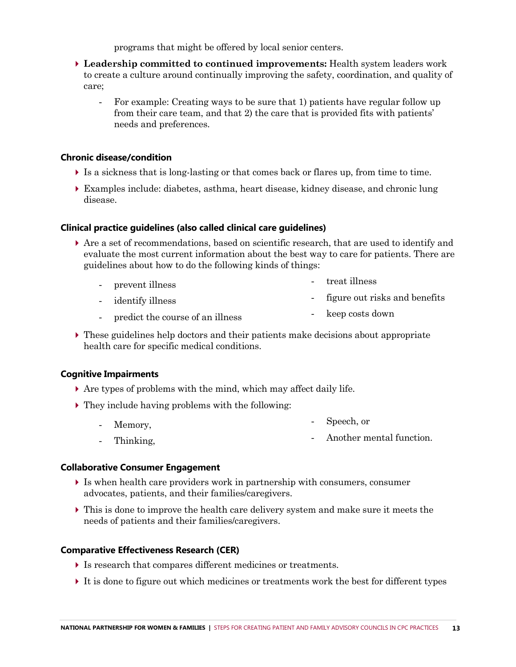programs that might be offered by local senior centers.

- **Leadership committed to continued improvements:** Health system leaders work to create a culture around continually improving the safety, coordination, and quality of care;
	- For example: Creating ways to be sure that 1) patients have regular follow up from their care team, and that 2) the care that is provided fits with patients' needs and preferences.

#### **Chronic disease/condition**

- $\triangleright$  Is a sickness that is long-lasting or that comes back or flares up, from time to time.
- Examples include: diabetes, asthma, heart disease, kidney disease, and chronic lung disease.

#### **Clinical practice guidelines (also called clinical care guidelines)**

- Are a set of recommendations, based on scientific research, that are used to identify and evaluate the most current information about the best way to care for patients. There are guidelines about how to do the following kinds of things:
	- prevent illness treat illness
	- identify illness - figure out risks and benefits
	- predict the course of an illness - keep costs down
- $\triangleright$  These guidelines help doctors and their patients make decisions about appropriate health care for specific medical conditions.

#### **Cognitive Impairments**

- Are types of problems with the mind, which may affect daily life.
- They include having problems with the following:
	- Memory, Speech, or
	- Thinking, - Another mental function.

#### **Collaborative Consumer Engagement**

- Is when health care providers work in partnership with consumers, consumer advocates, patients, and their families/caregivers.
- This is done to improve the health care delivery system and make sure it meets the needs of patients and their families/caregivers.

#### **Comparative Effectiveness Research (CER)**

- Is research that compares different medicines or treatments.
- It is done to figure out which medicines or treatments work the best for different types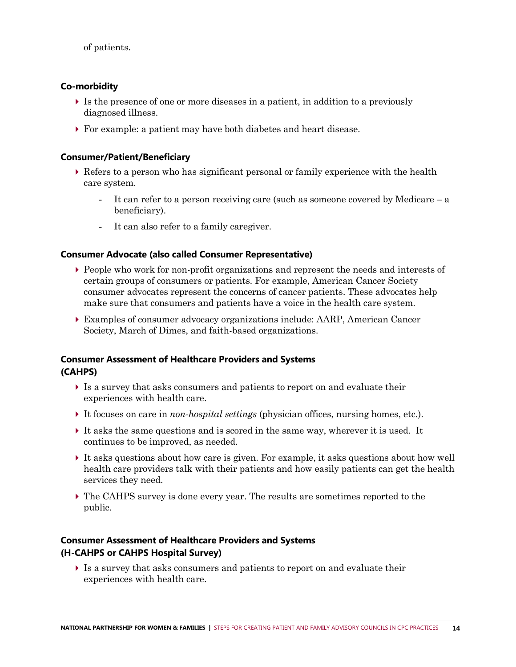of patients.

#### **Co-morbidity**

- Is the presence of one or more diseases in a patient, in addition to a previously diagnosed illness.
- For example: a patient may have both diabetes and heart disease.

#### **Consumer/Patient/Beneficiary**

- $\triangleright$  Refers to a person who has significant personal or family experience with the health care system.
	- It can refer to a person receiving care (such as someone covered by Medicare a beneficiary).
	- It can also refer to a family caregiver.

#### **Consumer Advocate (also called Consumer Representative)**

- People who work for non-profit organizations and represent the needs and interests of certain groups of consumers or patients. For example, American Cancer Society consumer advocates represent the concerns of cancer patients. These advocates help make sure that consumers and patients have a voice in the health care system.
- Examples of consumer advocacy organizations include: AARP, American Cancer Society, March of Dimes, and faith-based organizations.

#### **Consumer Assessment of Healthcare Providers and Systems (CAHPS)**

- Is a survey that asks consumers and patients to report on and evaluate their experiences with health care.
- It focuses on care in *non-hospital settings* (physician offices, nursing homes, etc.).
- $\triangleright$  It asks the same questions and is scored in the same way, wherever it is used. It continues to be improved, as needed.
- It asks questions about how care is given. For example, it asks questions about how well health care providers talk with their patients and how easily patients can get the health services they need.
- The CAHPS survey is done every year. The results are sometimes reported to the public.

#### **Consumer Assessment of Healthcare Providers and Systems (H-CAHPS or CAHPS Hospital Survey)**

 Is a survey that asks consumers and patients to report on and evaluate their experiences with health care.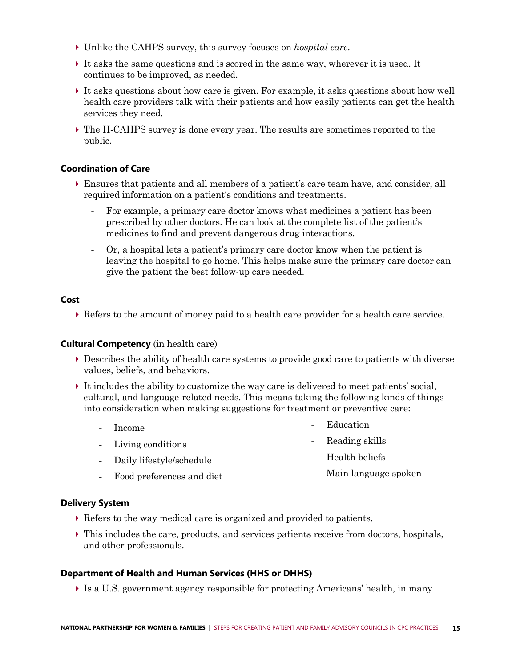- Unlike the CAHPS survey, this survey focuses on *hospital care*.
- It asks the same questions and is scored in the same way, wherever it is used. It continues to be improved, as needed.
- It asks questions about how care is given. For example, it asks questions about how well health care providers talk with their patients and how easily patients can get the health services they need.
- The H-CAHPS survey is done every year. The results are sometimes reported to the public.

#### **Coordination of Care**

- Ensures that patients and all members of a patient's care team have, and consider, all required information on a patient's conditions and treatments.
	- For example, a primary care doctor knows what medicines a patient has been prescribed by other doctors. He can look at the complete list of the patient's medicines to find and prevent dangerous drug interactions.
	- Or, a hospital lets a patient's primary care doctor know when the patient is leaving the hospital to go home. This helps make sure the primary care doctor can give the patient the best follow-up care needed.

#### **Cost**

Refers to the amount of money paid to a health care provider for a health care service.

#### **Cultural Competency** (in health care)

- Describes the ability of health care systems to provide good care to patients with diverse values, beliefs, and behaviors.
- It includes the ability to customize the way care is delivered to meet patients' social, cultural, and language-related needs. This means taking the following kinds of things into consideration when making suggestions for treatment or preventive care:
	- Income - Living conditions - Daily lifestyle/schedule Food preferences and diet **Education** - Reading skills - Health beliefs - Main language spoken

#### **Delivery System**

- Refers to the way medical care is organized and provided to patients.
- This includes the care, products, and services patients receive from doctors, hospitals, and other professionals.

#### **Department of Health and Human Services (HHS or DHHS)**

Is a U.S. government agency responsible for protecting Americans' health, in many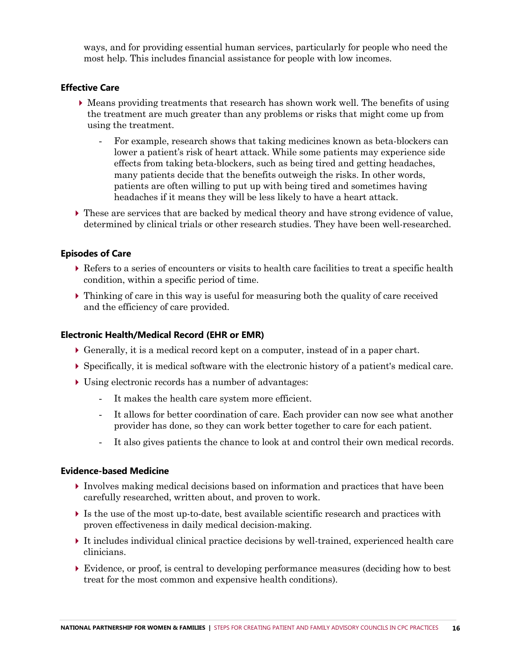ways, and for providing essential human services, particularly for people who need the most help. This includes financial assistance for people with low incomes.

#### **Effective Care**

- Means providing treatments that research has shown work well. The benefits of using the treatment are much greater than any problems or risks that might come up from using the treatment.
	- For example, research shows that taking medicines known as beta-blockers can lower a patient's risk of heart attack. While some patients may experience side effects from taking beta-blockers, such as being tired and getting headaches, many patients decide that the benefits outweigh the risks. In other words, patients are often willing to put up with being tired and sometimes having headaches if it means they will be less likely to have a heart attack.
- These are services that are backed by medical theory and have strong evidence of value, determined by clinical trials or other research studies. They have been well-researched.

#### **Episodes of Care**

- Refers to a series of encounters or visits to health care facilities to treat a specific health condition, within a specific period of time.
- Thinking of care in this way is useful for measuring both the quality of care received and the efficiency of care provided.

#### **Electronic Health/Medical Record (EHR or EMR)**

- Generally, it is a medical record kept on a computer, instead of in a paper chart.
- Specifically, it is medical software with the electronic history of a patient's medical care.
- Using electronic records has a number of advantages:
	- It makes the health care system more efficient.
	- It allows for better coordination of care. Each provider can now see what another provider has done, so they can work better together to care for each patient.
	- It also gives patients the chance to look at and control their own medical records.

#### **Evidence-based Medicine**

- Involves making medical decisions based on information and practices that have been carefully researched, written about, and proven to work.
- Is the use of the most up-to-date, best available scientific research and practices with proven effectiveness in daily medical decision-making.
- It includes individual clinical practice decisions by well-trained, experienced health care clinicians.
- Evidence, or proof, is central to developing performance measures (deciding how to best treat for the most common and expensive health conditions).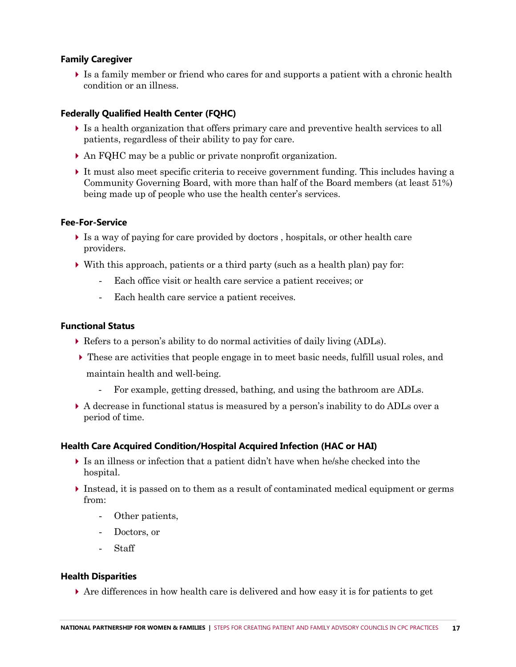#### **Family Caregiver**

It is a family member or friend who cares for and supports a patient with a chronic health condition or an illness.

#### **Federally Qualified Health Center (FQHC)**

- Is a health organization that offers primary care and preventive health services to all patients, regardless of their ability to pay for care.
- An FQHC may be a public or private nonprofit organization.
- It must also meet specific criteria to receive government funding. This includes having a Community Governing Board, with more than half of the Board members (at least 51%) being made up of people who use the health center's services.

#### **Fee-For-Service**

- Is a way of paying for care provided by doctors , hospitals, or other health care providers.
- $\triangleright$  With this approach, patients or a third party (such as a health plan) pay for:
	- Each office visit or health care service a patient receives; or
	- Each health care service a patient receives.

#### **Functional Status**

- Refers to a person's ability to do normal activities of daily living (ADLs).
- These are activities that people engage in to meet basic needs, fulfill usual roles, and maintain health and well-being.
	- For example, getting dressed, bathing, and using the bathroom are ADLs.
- A decrease in functional status is measured by a person's inability to do ADLs over a period of time.

#### **Health Care Acquired Condition/Hospital Acquired Infection (HAC or HAI)**

- $\blacktriangleright$  Is an illness or infection that a patient didn't have when he/she checked into the hospital.
- Instead, it is passed on to them as a result of contaminated medical equipment or germs from:
	- Other patients,
	- Doctors, or
	- Staff

#### **Health Disparities**

Are differences in how health care is delivered and how easy it is for patients to get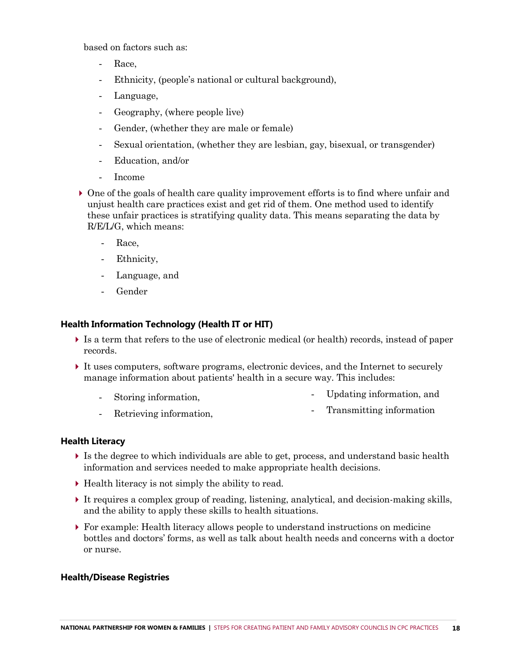based on factors such as:

- Race,
- Ethnicity, (people's national or cultural background),
- Language,
- Geography, (where people live)
- Gender, (whether they are male or female)
- Sexual orientation, (whether they are lesbian, gay, bisexual, or transgender)
- Education, and/or
- Income
- One of the goals of health care quality improvement efforts is to find where unfair and unjust health care practices exist and get rid of them. One method used to identify these unfair practices is stratifying quality data. This means separating the data by R/E/L/G, which means:
	- Race,
	- Ethnicity,
	- Language, and
	- Gender

#### **Health Information Technology (Health IT or HIT)**

- Is a term that refers to the use of electronic medical (or health) records, instead of paper records.
- It uses computers, software programs, electronic devices, and the Internet to securely manage information about patients' health in a secure way. This includes:
	- Storing information, - Updating information, and
	- Retrieving information,
- Transmitting information

#### **Health Literacy**

- Is the degree to which individuals are able to get, process, and understand basic health information and services needed to make appropriate health decisions.
- $\blacktriangleright$  Health literacy is not simply the ability to read.
- It requires a complex group of reading, listening, analytical, and decision-making skills, and the ability to apply these skills to health situations.
- For example: Health literacy allows people to understand instructions on medicine bottles and doctors' forms, as well as talk about health needs and concerns with a doctor or nurse.

#### **Health/Disease Registries**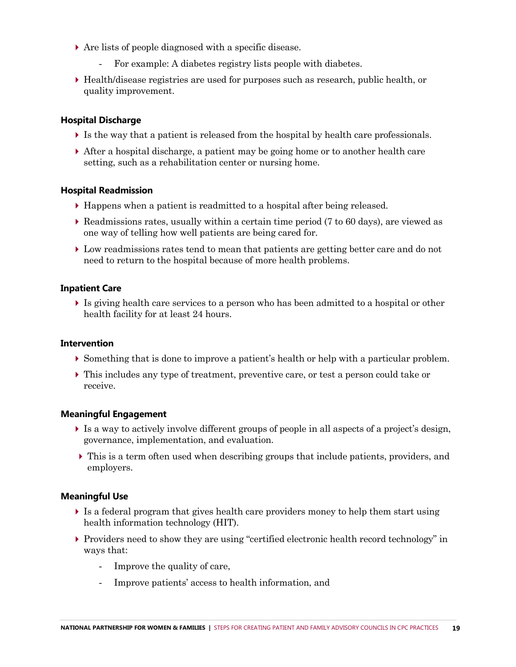- Are lists of people diagnosed with a specific disease.
	- For example: A diabetes registry lists people with diabetes.
- Health/disease registries are used for purposes such as research, public health, or quality improvement.

#### **Hospital Discharge**

- Is the way that a patient is released from the hospital by health care professionals.
- After a hospital discharge, a patient may be going home or to another health care setting, such as a rehabilitation center or nursing home.

#### **Hospital Readmission**

- Happens when a patient is readmitted to a hospital after being released.
- $\triangleright$  Readmissions rates, usually within a certain time period (7 to 60 days), are viewed as one way of telling how well patients are being cared for.
- Low readmissions rates tend to mean that patients are getting better care and do not need to return to the hospital because of more health problems.

#### **Inpatient Care**

 Is giving health care services to a person who has been admitted to a hospital or other health facility for at least 24 hours.

#### **Intervention**

- Something that is done to improve a patient's health or help with a particular problem.
- This includes any type of treatment, preventive care, or test a person could take or receive.

#### **Meaningful Engagement**

- Is a way to actively involve different groups of people in all aspects of a project's design, governance, implementation, and evaluation.
- This is a term often used when describing groups that include patients, providers, and employers.

#### **Meaningful Use**

- Is a federal program that gives health care providers money to help them start using health information technology (HIT).
- $\triangleright$  Providers need to show they are using "certified electronic health record technology" in ways that:
	- Improve the quality of care,
	- Improve patients' access to health information, and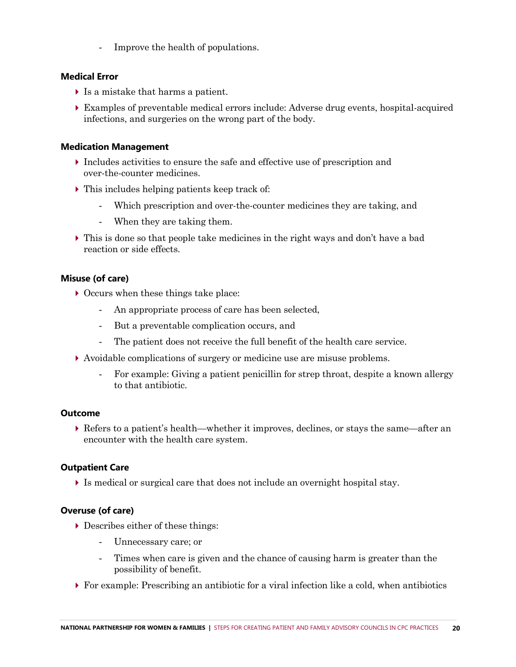- Improve the health of populations.

#### **Medical Error**

- Is a mistake that harms a patient.
- Examples of preventable medical errors include: Adverse drug events, hospital-acquired infections, and surgeries on the wrong part of the body.

#### **Medication Management**

- $\blacktriangleright$  Includes activities to ensure the safe and effective use of prescription and over-the-counter medicines.
- $\triangleright$  This includes helping patients keep track of:
	- Which prescription and over-the-counter medicines they are taking, and
	- When they are taking them.
- This is done so that people take medicines in the right ways and don't have a bad reaction or side effects.

#### **Misuse (of care)**

- $\triangleright$  Occurs when these things take place:
	- An appropriate process of care has been selected,
	- But a preventable complication occurs, and
	- The patient does not receive the full benefit of the health care service.
- Avoidable complications of surgery or medicine use are misuse problems.
	- For example: Giving a patient penicillin for strep throat, despite a known allergy to that antibiotic.

#### **Outcome**

 Refers to a patient's health—whether it improves, declines, or stays the same—after an encounter with the health care system.

#### **Outpatient Care**

Is medical or surgical care that does not include an overnight hospital stay.

#### **Overuse (of care)**

- Describes either of these things:
	- Unnecessary care; or
	- Times when care is given and the chance of causing harm is greater than the possibility of benefit.
- For example: Prescribing an antibiotic for a viral infection like a cold, when antibiotics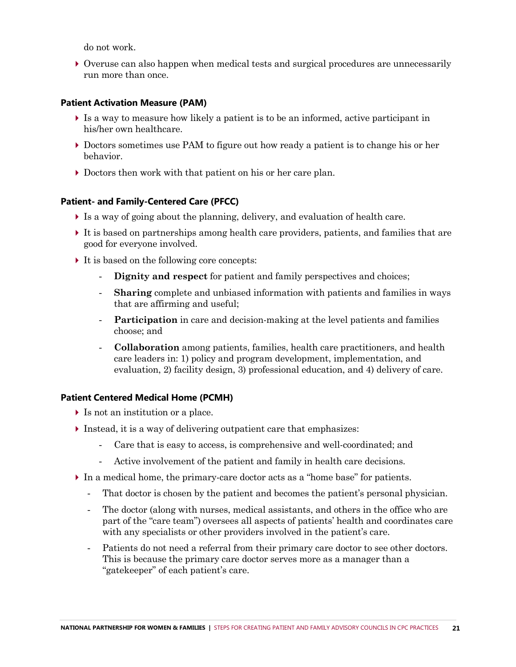do not work.

 Overuse can also happen when medical tests and surgical procedures are unnecessarily run more than once.

#### **Patient Activation Measure (PAM)**

- Is a way to measure how likely a patient is to be an informed, active participant in his/her own healthcare.
- Doctors sometimes use PAM to figure out how ready a patient is to change his or her behavior.
- Doctors then work with that patient on his or her care plan.

#### **Patient- and Family-Centered Care (PFCC)**

- Is a way of going about the planning, delivery, and evaluation of health care.
- It is based on partnerships among health care providers, patients, and families that are good for everyone involved.
- It is based on the following core concepts:
	- **Dignity and respect** for patient and family perspectives and choices;
	- **Sharing** complete and unbiased information with patients and families in ways that are affirming and useful;
	- **Participation** in care and decision-making at the level patients and families choose; and
	- **Collaboration** among patients, families, health care practitioners, and health care leaders in: 1) policy and program development, implementation, and evaluation, 2) facility design, 3) professional education, and 4) delivery of care.

#### **Patient Centered Medical Home (PCMH)**

- Is not an institution or a place.
- $\triangleright$  Instead, it is a way of delivering outpatient care that emphasizes:
	- Care that is easy to access, is comprehensive and well-coordinated; and
	- Active involvement of the patient and family in health care decisions.
- In a medical home, the primary-care doctor acts as a "home base" for patients.
	- That doctor is chosen by the patient and becomes the patient's personal physician.
	- The doctor (along with nurses, medical assistants, and others in the office who are part of the "care team") oversees all aspects of patients' health and coordinates care with any specialists or other providers involved in the patient's care.
	- Patients do not need a referral from their primary care doctor to see other doctors. This is because the primary care doctor serves more as a manager than a "gatekeeper" of each patient's care.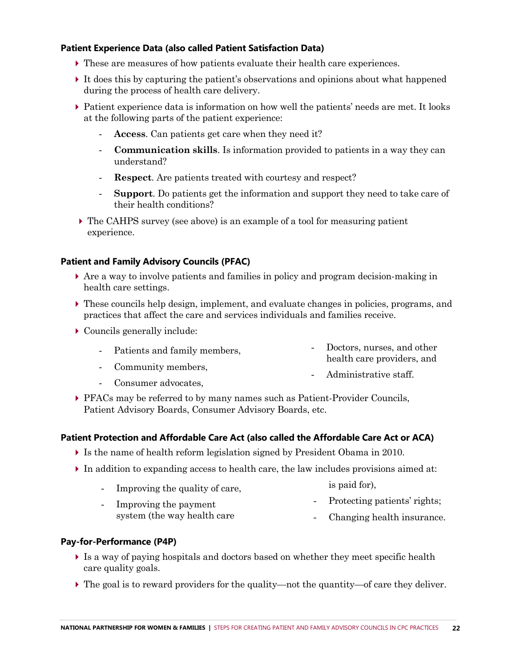#### **Patient Experience Data (also called Patient Satisfaction Data)**

- These are measures of how patients evaluate their health care experiences.
- It does this by capturing the patient's observations and opinions about what happened during the process of health care delivery.
- Patient experience data is information on how well the patients' needs are met. It looks at the following parts of the patient experience:
	- Access. Can patients get care when they need it?
	- **Communication skills**. Is information provided to patients in a way they can understand?
	- **Respect**. Are patients treated with courtesy and respect?
	- **Support**. Do patients get the information and support they need to take care of their health conditions?
- The CAHPS survey (see above) is an example of a tool for measuring patient experience.

#### **Patient and Family Advisory Councils (PFAC)**

- Are a way to involve patients and families in policy and program decision-making in health care settings.
- These councils help design, implement, and evaluate changes in policies, programs, and practices that affect the care and services individuals and families receive.
- Councils generally include:

|  | Patients and family members, | - Doctors, nurses, and other |
|--|------------------------------|------------------------------|
|  |                              | health care providers, and   |

- Community members,

Administrative staff.

Consumer advocates.

is paid for),

 PFACs may be referred to by many names such as Patient-Provider Councils, Patient Advisory Boards, Consumer Advisory Boards, etc.

#### **Patient Protection and Affordable Care Act (also called the Affordable Care Act or ACA)**

- Is the name of health reform legislation signed by President Obama in 2010.
- In addition to expanding access to health care, the law includes provisions aimed at:
	- Improving the quality of care,
- Protecting patients' rights;
- Improving the payment system (the way health care - Changing health insurance.

#### **Pay-for-Performance (P4P)**

- Is a way of paying hospitals and doctors based on whether they meet specific health care quality goals.
- $\triangleright$  The goal is to reward providers for the quality—not the quantity—of care they deliver.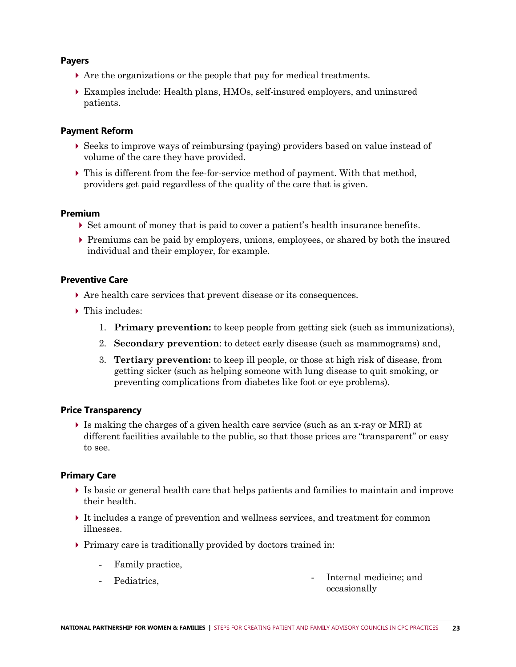#### **Payers**

- Are the organizations or the people that pay for medical treatments.
- Examples include: Health plans, HMOs, self-insured employers, and uninsured patients.

#### **Payment Reform**

- Seeks to improve ways of reimbursing (paying) providers based on value instead of volume of the care they have provided.
- $\blacktriangleright$  This is different from the fee-for-service method of payment. With that method, providers get paid regardless of the quality of the care that is given.

#### **Premium**

- Set amount of money that is paid to cover a patient's health insurance benefits.
- Premiums can be paid by employers, unions, employees, or shared by both the insured individual and their employer, for example.

#### **Preventive Care**

- Are health care services that prevent disease or its consequences.
- ▶ This includes:
	- 1. **Primary prevention:** to keep people from getting sick (such as immunizations),
	- 2. **Secondary prevention**: to detect early disease (such as mammograms) and,
	- 3. **Tertiary prevention:** to keep ill people, or those at high risk of disease, from getting sicker (such as helping someone with lung disease to quit smoking, or preventing complications from diabetes like foot or eye problems).

#### **Price Transparency**

 Is making the charges of a given health care service (such as an x-ray or MRI) at different facilities available to the public, so that those prices are "transparent" or easy to see.

#### **Primary Care**

- Is basic or general health care that helps patients and families to maintain and improve their health.
- It includes a range of prevention and wellness services, and treatment for common illnesses.
- Primary care is traditionally provided by doctors trained in:
	- Family practice,
	-

Pediatrics. The internal medicine; and occasionally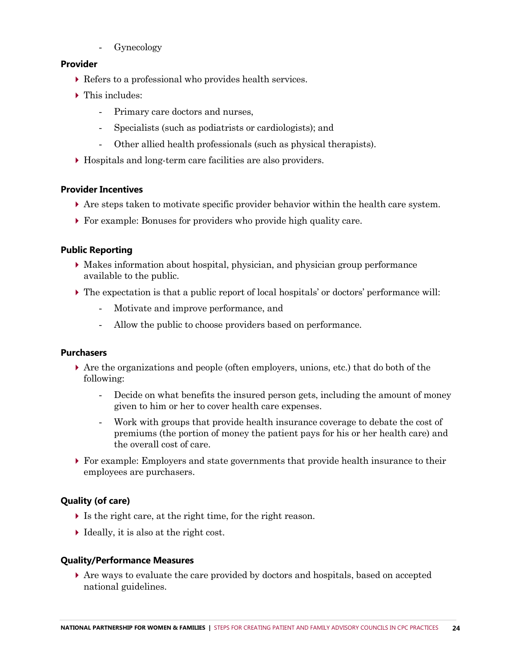Gynecology

#### **Provider**

- Refers to a professional who provides health services.
- ▶ This includes:
	- Primary care doctors and nurses,
	- Specialists (such as podiatrists or cardiologists); and
	- Other allied health professionals (such as physical therapists).
- Hospitals and long-term care facilities are also providers.

#### **Provider Incentives**

- Are steps taken to motivate specific provider behavior within the health care system.
- For example: Bonuses for providers who provide high quality care.

#### **Public Reporting**

- Makes information about hospital, physician, and physician group performance available to the public.
- The expectation is that a public report of local hospitals' or doctors' performance will:
	- Motivate and improve performance, and
	- Allow the public to choose providers based on performance.

#### **Purchasers**

- Are the organizations and people (often employers, unions, etc.) that do both of the following:
	- Decide on what benefits the insured person gets, including the amount of money given to him or her to cover health care expenses.
	- Work with groups that provide health insurance coverage to debate the cost of premiums (the portion of money the patient pays for his or her health care) and the overall cost of care.
- For example: Employers and state governments that provide health insurance to their employees are purchasers.

#### **Quality (of care)**

- Is the right care, at the right time, for the right reason.
- Ideally, it is also at the right cost.

#### **Quality/Performance Measures**

 Are ways to evaluate the care provided by doctors and hospitals, based on accepted national guidelines.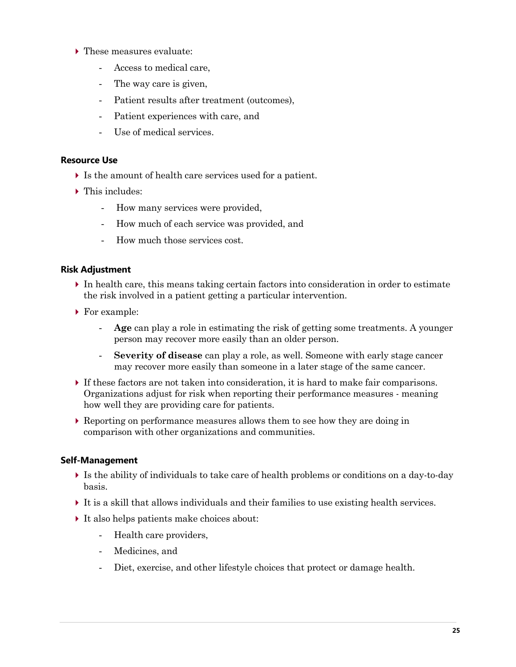- ▶ These measures evaluate:
	- Access to medical care,
	- The way care is given,
	- Patient results after treatment (outcomes),
	- Patient experiences with care, and
	- Use of medical services.

#### **Resource Use**

- Is the amount of health care services used for a patient.
- $\blacktriangleright$  This includes:
	- How many services were provided,
	- How much of each service was provided, and
	- How much those services cost.

#### **Risk Adjustment**

- In health care, this means taking certain factors into consideration in order to estimate the risk involved in a patient getting a particular intervention.
- ▶ For example:
	- **Age** can play a role in estimating the risk of getting some treatments. A younger person may recover more easily than an older person.
	- **Severity of disease** can play a role, as well. Someone with early stage cancer may recover more easily than someone in a later stage of the same cancer.
- If these factors are not taken into consideration, it is hard to make fair comparisons. Organizations adjust for risk when reporting their performance measures - meaning how well they are providing care for patients.
- Reporting on performance measures allows them to see how they are doing in comparison with other organizations and communities.

#### **Self-Management**

- Is the ability of individuals to take care of health problems or conditions on a day-to-day basis.
- It is a skill that allows individuals and their families to use existing health services.
- It also helps patients make choices about:
	- Health care providers,
	- Medicines, and
	- Diet, exercise, and other lifestyle choices that protect or damage health.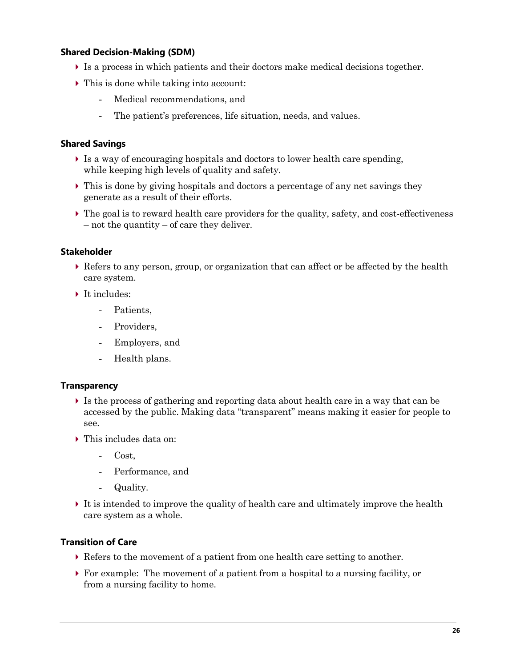#### **Shared Decision-Making (SDM)**

- Is a process in which patients and their doctors make medical decisions together.
- This is done while taking into account:
	- Medical recommendations, and
	- The patient's preferences, life situation, needs, and values.

#### **Shared Savings**

- Is a way of encouraging hospitals and doctors to lower health care spending, while keeping high levels of quality and safety.
- $\triangleright$  This is done by giving hospitals and doctors a percentage of any net savings they generate as a result of their efforts.
- $\triangleright$  The goal is to reward health care providers for the quality, safety, and cost-effectiveness – not the quantity – of care they deliver.

#### **Stakeholder**

- Refers to any person, group, or organization that can affect or be affected by the health care system.
- It includes:
	- Patients.
	- Providers,
	- Employers, and
	- Health plans.

#### **Transparency**

- Is the process of gathering and reporting data about health care in a way that can be accessed by the public. Making data "transparent" means making it easier for people to see.
- ▶ This includes data on:
	- Cost,
	- Performance, and
	- Quality.
- It is intended to improve the quality of health care and ultimately improve the health care system as a whole.

#### **Transition of Care**

- Refers to the movement of a patient from one health care setting to another.
- For example: The movement of a patient from a hospital to a nursing facility, or from a nursing facility to home.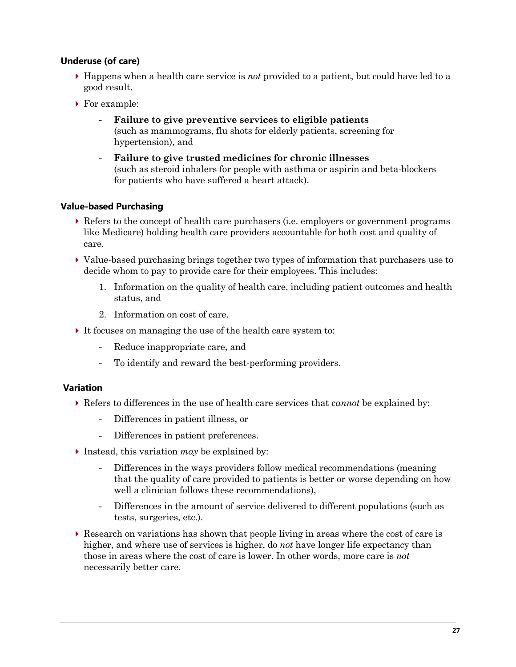#### **Underuse (of care)**

- Happens when a health care service is *not* provided to a patient, but could have led to a good result.
- ▶ For example:
	- **Failure to give preventive services to eligible patients** (such as mammograms, flu shots for elderly patients, screening for hypertension), and
	- **Failure to give trusted medicines for chronic illnesses** (such as steroid inhalers for people with asthma or aspirin and beta-blockers for patients who have suffered a heart attack).

#### **Value-based Purchasing**

- Refers to the concept of health care purchasers (i.e. employers or government programs like Medicare) holding health care providers accountable for both cost and quality of care.
- Value-based purchasing brings together two types of information that purchasers use to decide whom to pay to provide care for their employees. This includes:
	- 1. Information on the quality of health care, including patient outcomes and health status, and
	- 2. Information on cost of care.
- It focuses on managing the use of the health care system to:
	- Reduce inappropriate care, and
	- To identify and reward the best-performing providers.

#### **Variation**

- Refers to differences in the use of health care services that c*annot* be explained by:
	- Differences in patient illness, or
	- Differences in patient preferences.
- Instead, this variation *may* be explained by:
	- Differences in the ways providers follow medical recommendations (meaning that the quality of care provided to patients is better or worse depending on how well a clinician follows these recommendations),
	- Differences in the amount of service delivered to different populations (such as tests, surgeries, etc.).
- Research on variations has shown that people living in areas where the cost of care is higher, and where use of services is higher, do *not* have longer life expectancy than those in areas where the cost of care is lower. In other words, more care is *not* necessarily better care.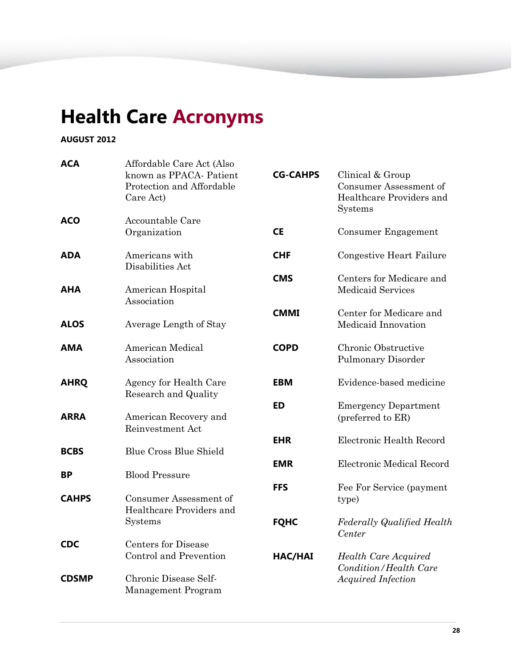# **Health Care Acronyms**

#### **AUGUST 2012**

| <b>ACA</b>   | Affordable Care Act (Also<br>known as PPACA-Patient<br>Protection and Affordable<br>Care Act) | <b>CG-CAHPS</b> | Clinical & Group<br>Consumer Assessment of<br>Healthcare Providers and<br>Systems |
|--------------|-----------------------------------------------------------------------------------------------|-----------------|-----------------------------------------------------------------------------------|
| <b>ACO</b>   | Accountable Care<br>Organization                                                              | <b>CE</b>       | Consumer Engagement                                                               |
| <b>ADA</b>   | Americans with<br>Disabilities Act                                                            | <b>CHF</b>      | <b>Congestive Heart Failure</b>                                                   |
| AHA          | American Hospital<br>Association                                                              | <b>CMS</b>      | Centers for Medicare and<br><b>Medicaid Services</b>                              |
| <b>ALOS</b>  | Average Length of Stay                                                                        | <b>CMMI</b>     | Center for Medicare and<br>Medicaid Innovation                                    |
| <b>AMA</b>   | American Medical<br>Association                                                               | <b>COPD</b>     | Chronic Obstructive<br><b>Pulmonary Disorder</b>                                  |
| <b>AHRQ</b>  | Agency for Health Care<br>Research and Quality                                                | <b>EBM</b>      | Evidence-based medicine                                                           |
| <b>ARRA</b>  | American Recovery and<br>Reinvestment Act                                                     | <b>ED</b>       | <b>Emergency Department</b><br>(preferred to ER)                                  |
| <b>BCBS</b>  | <b>Blue Cross Blue Shield</b>                                                                 | <b>EHR</b>      | Electronic Health Record                                                          |
| ВP           | <b>Blood Pressure</b>                                                                         | <b>EMR</b>      | Electronic Medical Record                                                         |
| <b>CAHPS</b> | Consumer Assessment of<br>Healthcare Providers and                                            | <b>FFS</b>      | Fee For Service (payment<br>type)                                                 |
|              | Systems                                                                                       | <b>FQHC</b>     | <b>Federally Qualified Health</b><br>Center                                       |
| <b>CDC</b>   | <b>Centers for Disease</b><br>Control and Prevention                                          | HAC/HAI         | <b>Health Care Acquired</b><br>Condition/Health Care                              |
| <b>CDSMP</b> | Chronic Disease Self-<br>Management Program                                                   |                 | <b>Acquired Infection</b>                                                         |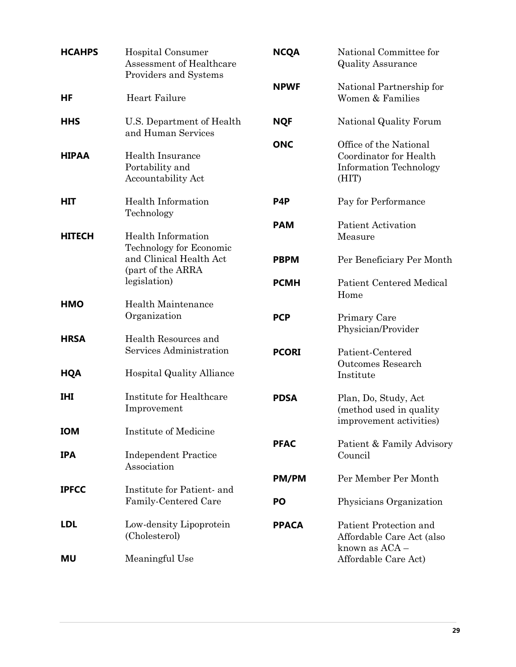| <b>HCAHPS</b> | Hospital Consumer<br>Assessment of Healthcare<br>Providers and Systems | <b>NCQA</b>  | National Committee for<br><b>Quality Assurance</b>                                         |
|---------------|------------------------------------------------------------------------|--------------|--------------------------------------------------------------------------------------------|
| HF            | Heart Failure                                                          | <b>NPWF</b>  | National Partnership for<br>Women & Families                                               |
| <b>HHS</b>    | U.S. Department of Health<br>and Human Services                        | <b>NQF</b>   | National Quality Forum                                                                     |
| <b>HIPAA</b>  | <b>Health Insurance</b><br>Portability and<br>Accountability Act       | <b>ONC</b>   | Office of the National<br>Coordinator for Health<br><b>Information Technology</b><br>(HIT) |
| <b>HIT</b>    | Health Information<br>Technology                                       | P4P          | Pay for Performance                                                                        |
| <b>HITECH</b> | Health Information<br>Technology for Economic                          | <b>PAM</b>   | <b>Patient Activation</b><br>Measure                                                       |
|               | and Clinical Health Act<br>(part of the ARRA                           | <b>PBPM</b>  | Per Beneficiary Per Month                                                                  |
|               | legislation)                                                           | <b>PCMH</b>  | <b>Patient Centered Medical</b><br>Home                                                    |
| <b>HMO</b>    | <b>Health Maintenance</b><br>Organization                              | <b>PCP</b>   | Primary Care<br>Physician/Provider                                                         |
| <b>HRSA</b>   | Health Resources and<br>Services Administration                        | <b>PCORI</b> | Patient-Centered<br><b>Outcomes Research</b>                                               |
| <b>HQA</b>    | <b>Hospital Quality Alliance</b>                                       |              | Institute                                                                                  |
| <b>IHI</b>    | Institute for Healthcare<br>Improvement                                | <b>PDSA</b>  | Plan, Do, Study, Act<br>(method used in quality<br>improvement activities)                 |
| <b>IOM</b>    | Institute of Medicine                                                  | <b>PFAC</b>  | Patient & Family Advisory                                                                  |
| <b>IPA</b>    | <b>Independent Practice</b><br>Association                             |              | Council                                                                                    |
| <b>IPFCC</b>  | Institute for Patient- and                                             | <b>PM/PM</b> | Per Member Per Month                                                                       |
|               | Family-Centered Care                                                   | PO           | Physicians Organization                                                                    |
| <b>LDL</b>    | Low-density Lipoprotein<br>(Cholesterol)                               | <b>PPACA</b> | Patient Protection and<br>Affordable Care Act (also<br>known as ACA -                      |
| <b>MU</b>     | Meaningful Use                                                         |              | Affordable Care Act)                                                                       |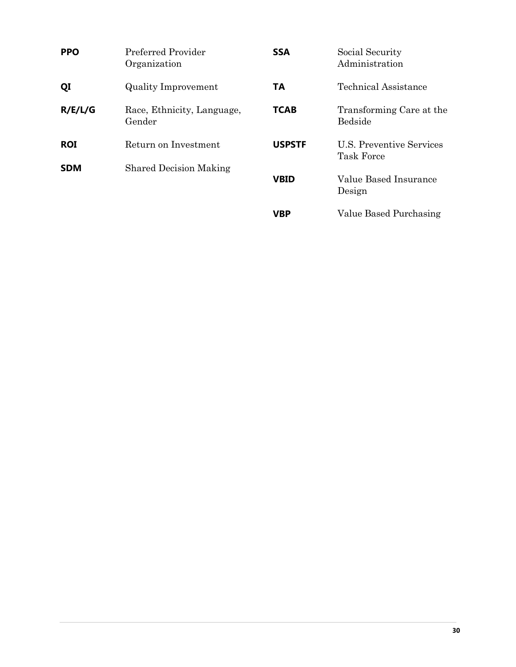| <b>PPO</b> | Preferred Provider<br>Organization   | <b>SSA</b>    | Social Security<br>Administration      |
|------------|--------------------------------------|---------------|----------------------------------------|
| QI         | <b>Quality Improvement</b>           | TA            | Technical Assistance                   |
| R/E/L/G    | Race, Ethnicity, Language,<br>Gender | <b>TCAB</b>   | Transforming Care at the<br>Bedside    |
| <b>ROI</b> | Return on Investment                 | <b>USPSTF</b> | U.S. Preventive Services<br>Task Force |
| <b>SDM</b> | <b>Shared Decision Making</b>        | <b>VBID</b>   | Value Based Insurance<br>Design        |
|            |                                      | <b>VBP</b>    | Value Based Purchasing                 |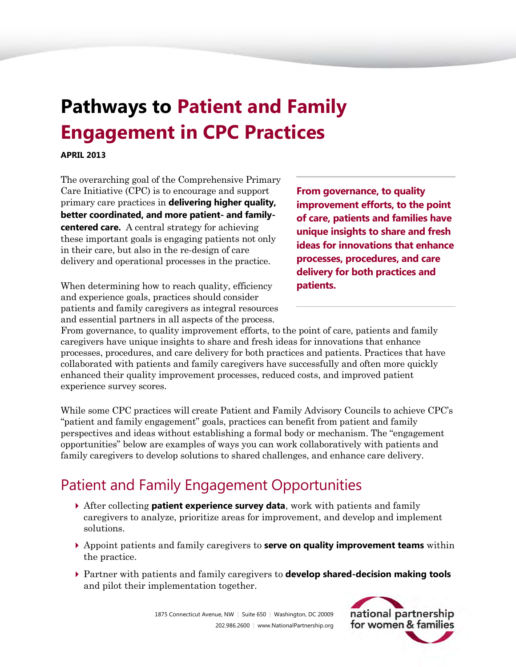# <span id="page-31-0"></span>**Pathways to Patient and Family Engagement in CPC Practices**

**APRIL 2013** 

The overarching goal of the Comprehensive Primary Care Initiative (CPC) is to encourage and support primary care practices in **delivering higher quality, better coordinated, and more patient- and familycentered care.** A central strategy for achieving these important goals is engaging patients not only in their care, but also in the re-design of care delivery and operational processes in the practice.

When determining how to reach quality, efficiency and experience goals, practices should consider patients and family caregivers as integral resources and essential partners in all aspects of the process.

**From governance, to quality improvement efforts, to the point of care, patients and families have unique insights to share and fresh ideas for innovations that enhance processes, procedures, and care delivery for both practices and patients.**

From governance, to quality improvement efforts, to the point of care, patients and family caregivers have unique insights to share and fresh ideas for innovations that enhance processes, procedures, and care delivery for both practices and patients. Practices that have collaborated with patients and family caregivers have successfully and often more quickly enhanced their quality improvement processes, reduced costs, and improved patient experience survey scores.

While some CPC practices will create Patient and Family Advisory Councils to achieve CPC's "patient and family engagement" goals, practices can benefit from patient and family perspectives and ideas without establishing a formal body or mechanism. The "engagement opportunities" below are examples of ways you can work collaboratively with patients and family caregivers to develop solutions to shared challenges, and enhance care delivery.

## Patient and Family Engagement Opportunities

- After collecting **patient experience survey data**, work with patients and family caregivers to analyze, prioritize areas for improvement, and develop and implement solutions.
- Appoint patients and family caregivers to **serve on quality improvement teams** within the practice.
- Partner with patients and family caregivers to **develop shared-decision making tools** and pilot their implementation together.

1875 Connecticut Avenue, NW | Suite 650 | Washington, DC 20009 202.986.2600 | www.NationalPartnership.org

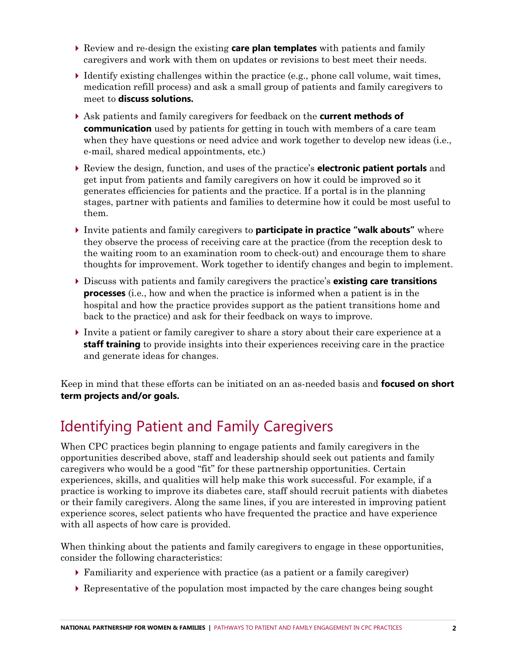- Review and re-design the existing **care plan templates** with patients and family caregivers and work with them on updates or revisions to best meet their needs.
- $\blacktriangleright$  Identify existing challenges within the practice (e.g., phone call volume, wait times, medication refill process) and ask a small group of patients and family caregivers to meet to **discuss solutions.**
- Ask patients and family caregivers for feedback on the **current methods of communication** used by patients for getting in touch with members of a care team when they have questions or need advice and work together to develop new ideas (i.e., e-mail, shared medical appointments, etc.)
- Review the design, function, and uses of the practice's **electronic patient portals** and get input from patients and family caregivers on how it could be improved so it generates efficiencies for patients and the practice. If a portal is in the planning stages, partner with patients and families to determine how it could be most useful to them.
- Invite patients and family caregivers to **participate in practice "walk abouts"** where they observe the process of receiving care at the practice (from the reception desk to the waiting room to an examination room to check-out) and encourage them to share thoughts for improvement. Work together to identify changes and begin to implement.
- Discuss with patients and family caregivers the practice's **existing care transitions processes** (i.e., how and when the practice is informed when a patient is in the hospital and how the practice provides support as the patient transitions home and back to the practice) and ask for their feedback on ways to improve.
- Invite a patient or family caregiver to share a story about their care experience at a **staff training** to provide insights into their experiences receiving care in the practice and generate ideas for changes.

Keep in mind that these efforts can be initiated on an as-needed basis and **focused on short term projects and/or goals.**

## Identifying Patient and Family Caregivers

When CPC practices begin planning to engage patients and family caregivers in the opportunities described above, staff and leadership should seek out patients and family caregivers who would be a good "fit" for these partnership opportunities. Certain experiences, skills, and qualities will help make this work successful. For example, if a practice is working to improve its diabetes care, staff should recruit patients with diabetes or their family caregivers. Along the same lines, if you are interested in improving patient experience scores, select patients who have frequented the practice and have experience with all aspects of how care is provided.

When thinking about the patients and family caregivers to engage in these opportunities, consider the following characteristics:

- Familiarity and experience with practice (as a patient or a family caregiver)
- $\triangleright$  Representative of the population most impacted by the care changes being sought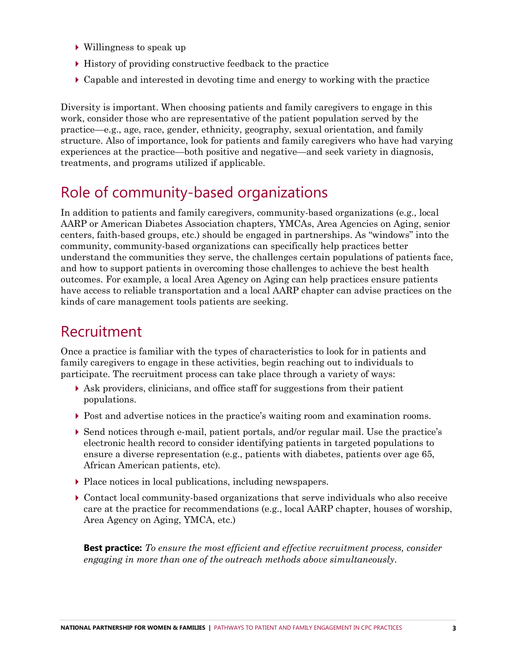- Willingness to speak up
- History of providing constructive feedback to the practice
- Capable and interested in devoting time and energy to working with the practice

Diversity is important. When choosing patients and family caregivers to engage in this work, consider those who are representative of the patient population served by the practice—e.g., age, race, gender, ethnicity, geography, sexual orientation, and family structure. Also of importance, look for patients and family caregivers who have had varying experiences at the practice—both positive and negative—and seek variety in diagnosis, treatments, and programs utilized if applicable.

## Role of community-based organizations

In addition to patients and family caregivers, community-based organizations (e.g., local AARP or American Diabetes Association chapters, YMCAs, Area Agencies on Aging, senior centers, faith-based groups, etc.) should be engaged in partnerships. As "windows" into the community, community-based organizations can specifically help practices better understand the communities they serve, the challenges certain populations of patients face, and how to support patients in overcoming those challenges to achieve the best health outcomes. For example, a local Area Agency on Aging can help practices ensure patients have access to reliable transportation and a local AARP chapter can advise practices on the kinds of care management tools patients are seeking.

## Recruitment

Once a practice is familiar with the types of characteristics to look for in patients and family caregivers to engage in these activities, begin reaching out to individuals to participate. The recruitment process can take place through a variety of ways:

- Ask providers, clinicians, and office staff for suggestions from their patient populations.
- Post and advertise notices in the practice's waiting room and examination rooms.
- Send notices through e-mail, patient portals, and/or regular mail. Use the practice's electronic health record to consider identifying patients in targeted populations to ensure a diverse representation (e.g., patients with diabetes, patients over age 65, African American patients, etc).
- Place notices in local publications, including newspapers.
- Contact local community-based organizations that serve individuals who also receive care at the practice for recommendations (e.g., local AARP chapter, houses of worship, Area Agency on Aging, YMCA, etc.)

**Best practice:** *To ensure the most efficient and effective recruitment process, consider engaging in more than one of the outreach methods above simultaneously.*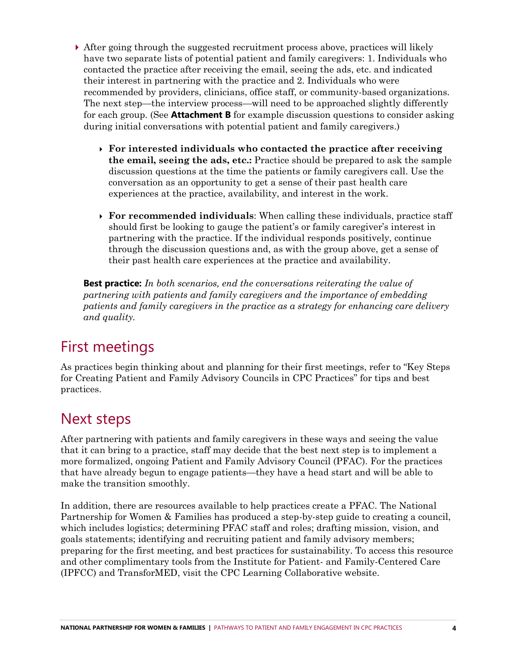- After going through the suggested recruitment process above, practices will likely have two separate lists of potential patient and family caregivers: 1. Individuals who contacted the practice after receiving the email, seeing the ads, etc. and indicated their interest in partnering with the practice and 2. Individuals who were recommended by providers, clinicians, office staff, or community-based organizations. The next step—the interview process—will need to be approached slightly differently for each group. (See **Attachment B** for example discussion questions to consider asking during initial conversations with potential patient and family caregivers.)
	- **For interested individuals who contacted the practice after receiving the email, seeing the ads, etc.:** Practice should be prepared to ask the sample discussion questions at the time the patients or family caregivers call. Use the conversation as an opportunity to get a sense of their past health care experiences at the practice, availability, and interest in the work.
	- **For recommended individuals**: When calling these individuals, practice staff should first be looking to gauge the patient's or family caregiver's interest in partnering with the practice. If the individual responds positively, continue through the discussion questions and, as with the group above, get a sense of their past health care experiences at the practice and availability.

**Best practice:** *In both scenarios, end the conversations reiterating the value of partnering with patients and family caregivers and the importance of embedding patients and family caregivers in the practice as a strategy for enhancing care delivery and quality.* 

## First meetings

As practices begin thinking about and planning for their first meetings, refer to "Key Steps for Creating Patient and Family Advisory Councils in CPC Practices" for tips and best practices.

## Next steps

After partnering with patients and family caregivers in these ways and seeing the value that it can bring to a practice, staff may decide that the best next step is to implement a more formalized, ongoing Patient and Family Advisory Council (PFAC). For the practices that have already begun to engage patients—they have a head start and will be able to make the transition smoothly.

In addition, there are resources available to help practices create a PFAC. The National Partnership for Women & Families has produced a step-by-step guide to creating a council, which includes logistics; determining PFAC staff and roles; drafting mission, vision, and goals statements; identifying and recruiting patient and family advisory members; preparing for the first meeting, and best practices for sustainability. To access this resource and other complimentary tools from the Institute for Patient- and Family-Centered Care (IPFCC) and TransforMED, visit the CPC Learning Collaborative website.